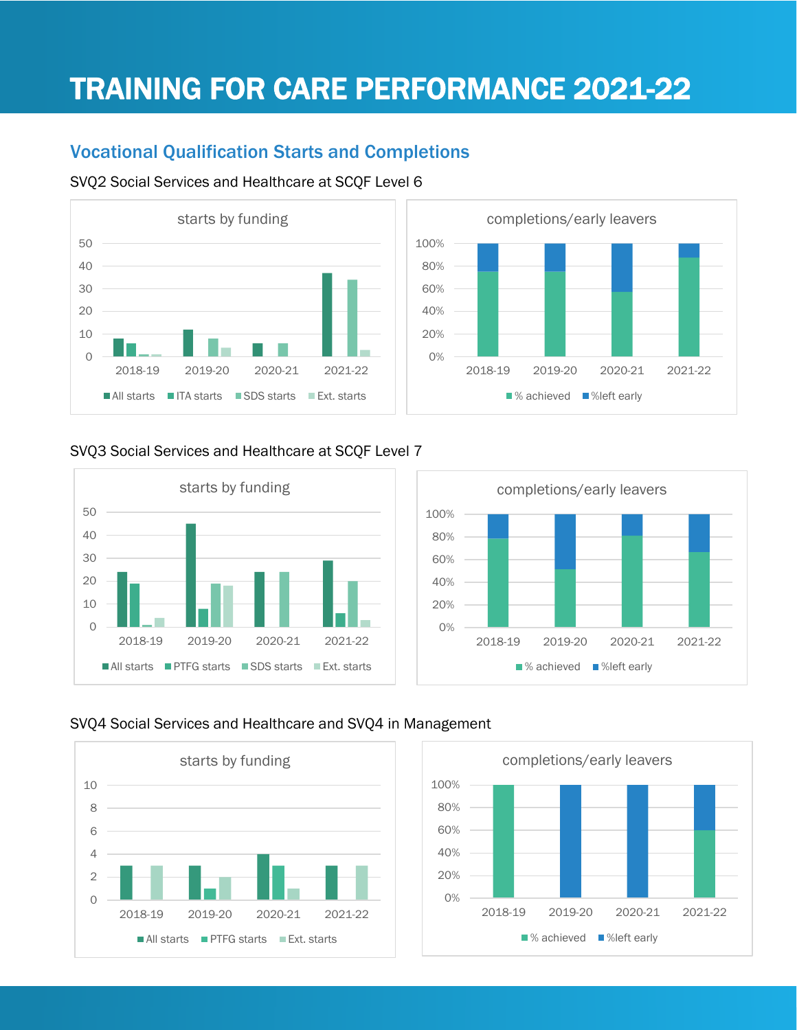# TRAINING FOR CARE PERFORMANCE 2021-22

# Vocational Qualification Starts and Completions

### SVQ2 Social Services and Healthcare at SCQF Level 6





### SVQ3 Social Services and Healthcare at SCQF Level 7





### SVQ4 Social Services and Healthcare and SVQ4 in Management



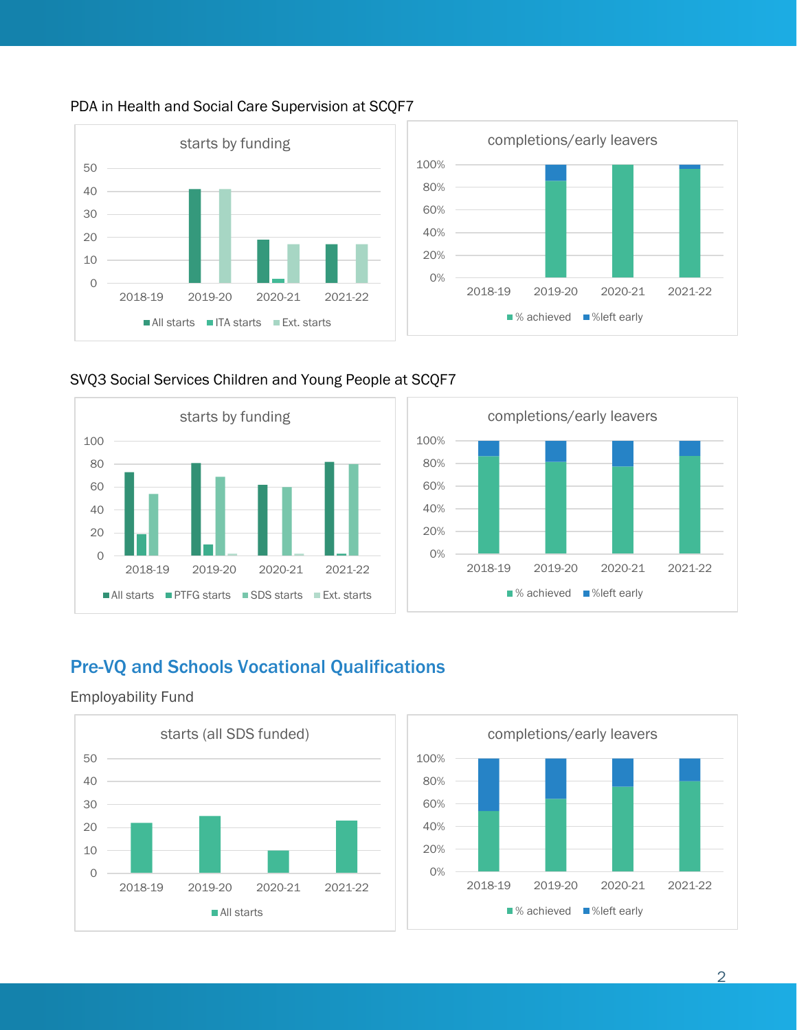



### PDA in Health and Social Care Supervision at SCQF7







# Pre-VQ and Schools Vocational Qualifications

#### Employability Fund

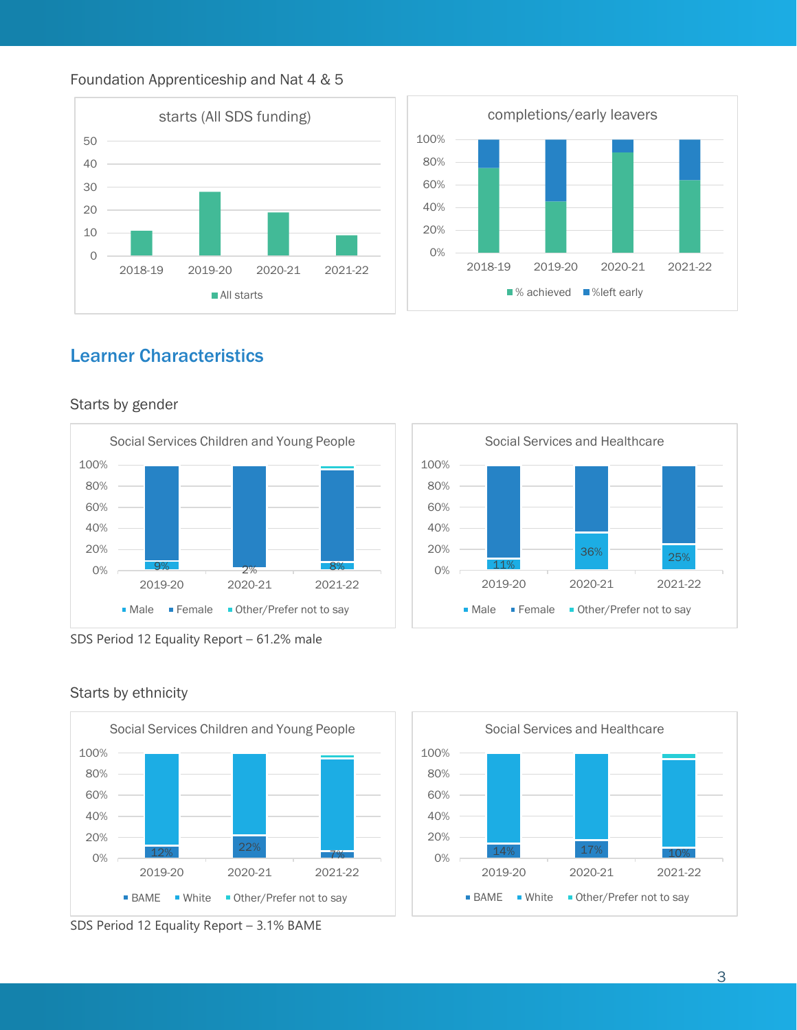#### Foundation Apprenticeship and Nat 4 & 5





### Learner Characteristics

## 0% 9% 2% 8% 20% 40% 60% 80% 100% 2019-20 2020-21 2021-22 Social Services Children and Young People ■ Male ■ Female ■ Other/Prefer not to say Starts by gender

SDS Period 12 Equality Report – 61.2% male







SDS Period 12 Equality Report – 3.1% BAME



3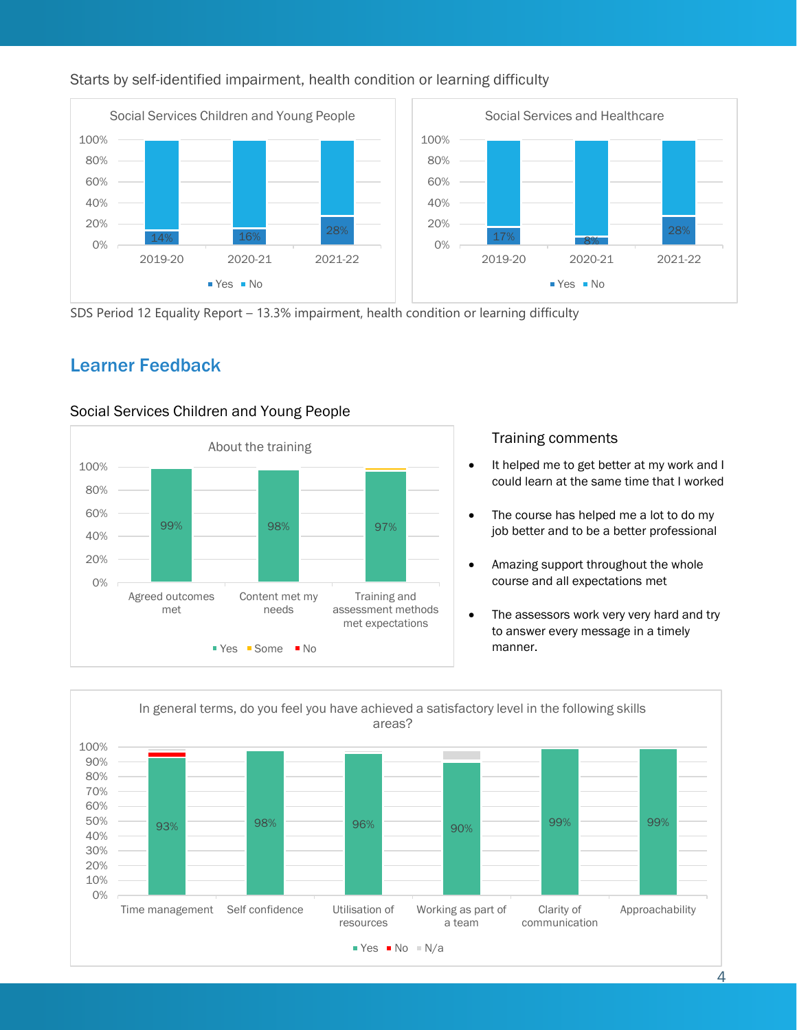

#### Starts by self-identified impairment, health condition or learning difficulty

SDS Period 12 Equality Report – 13.3% impairment, health condition or learning difficulty

# Learner Feedback



### Social Services Children and Young People

#### Training comments

- It helped me to get better at my work and I could learn at the same time that I worked
- The course has helped me a lot to do my job better and to be a better professional
- Amazing support throughout the whole course and all expectations met
- The assessors work very very hard and try to answer every message in a timely manner.

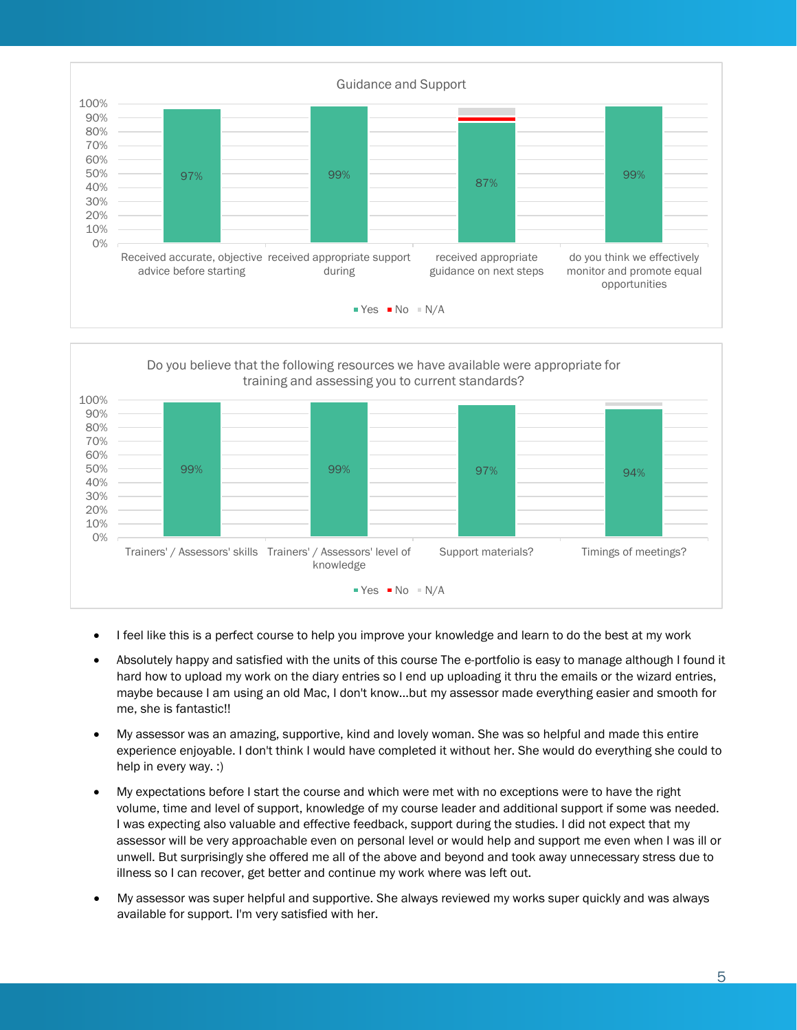



- I feel like this is a perfect course to help you improve your knowledge and learn to do the best at my work
- Absolutely happy and satisfied with the units of this course The e-portfolio is easy to manage although I found it hard how to upload my work on the diary entries so I end up uploading it thru the emails or the wizard entries, maybe because I am using an old Mac, I don't know...but my assessor made everything easier and smooth for me, she is fantastic!!
- My assessor was an amazing, supportive, kind and lovely woman. She was so helpful and made this entire experience enjoyable. I don't think I would have completed it without her. She would do everything she could to help in every way. :)
- My expectations before I start the course and which were met with no exceptions were to have the right volume, time and level of support, knowledge of my course leader and additional support if some was needed. I was expecting also valuable and effective feedback, support during the studies. I did not expect that my assessor will be very approachable even on personal level or would help and support me even when I was ill or unwell. But surprisingly she offered me all of the above and beyond and took away unnecessary stress due to illness so I can recover, get better and continue my work where was left out.
- My assessor was super helpful and supportive. She always reviewed my works super quickly and was always available for support. I'm very satisfied with her.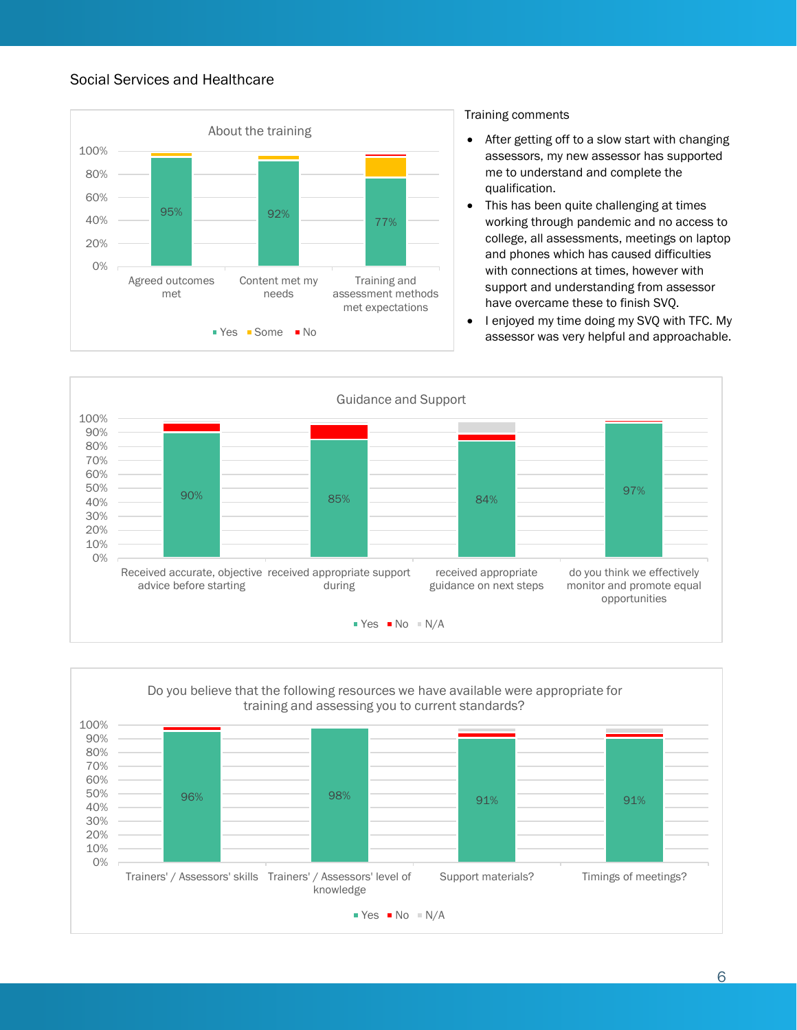#### Social Services and Healthcare



#### Training comments

- After getting off to a slow start with changing assessors, my new assessor has supported me to understand and complete the qualification.
- This has been quite challenging at times working through pandemic and no access to college, all assessments, meetings on laptop and phones which has caused difficulties with connections at times, however with support and understanding from assessor have overcame these to finish SVQ.
- I enjoyed my time doing my SVQ with TFC. My assessor was very helpful and approachable.



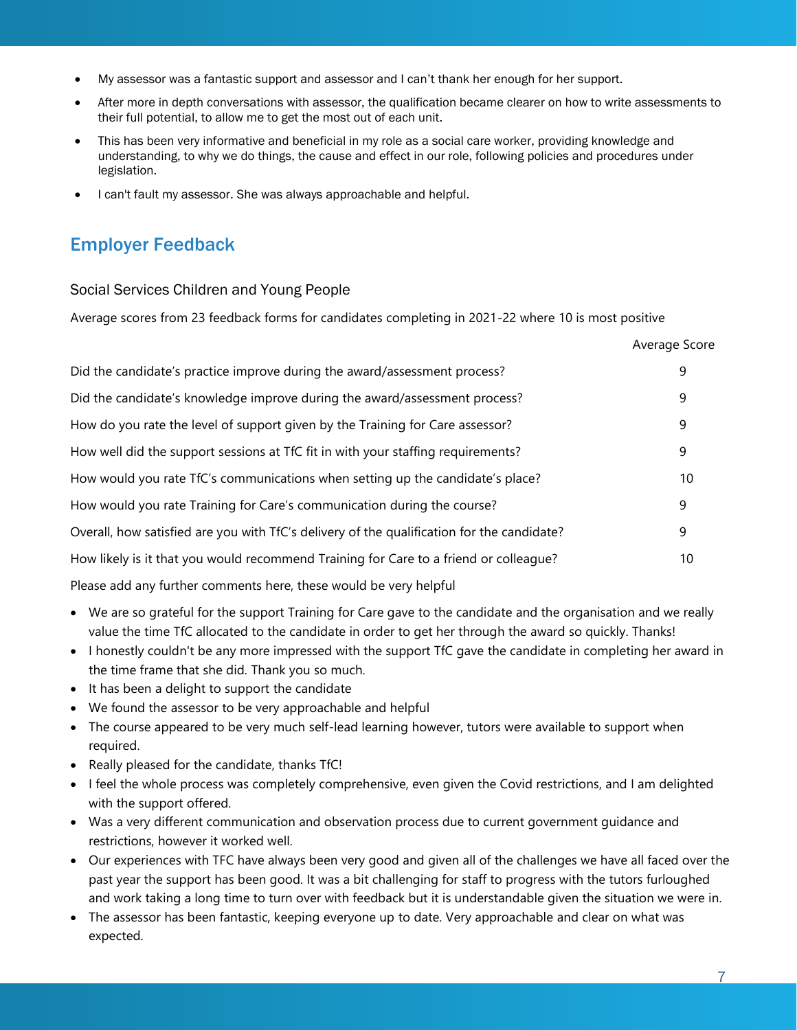- My assessor was a fantastic support and assessor and I can't thank her enough for her support.
- After more in depth conversations with assessor, the qualification became clearer on how to write assessments to their full potential, to allow me to get the most out of each unit.
- This has been very informative and beneficial in my role as a social care worker, providing knowledge and understanding, to why we do things, the cause and effect in our role, following policies and procedures under legislation.
- I can't fault my assessor. She was always approachable and helpful.

# Employer Feedback

#### Social Services Children and Young People

Average scores from 23 feedback forms for candidates completing in 2021-22 where 10 is most positive

|                                                                                            | Average Score |
|--------------------------------------------------------------------------------------------|---------------|
| Did the candidate's practice improve during the award/assessment process?                  | 9             |
| Did the candidate's knowledge improve during the award/assessment process?                 | 9             |
| How do you rate the level of support given by the Training for Care assessor?              | 9             |
| How well did the support sessions at TfC fit in with your staffing requirements?           | 9             |
| How would you rate TfC's communications when setting up the candidate's place?             | 10            |
| How would you rate Training for Care's communication during the course?                    | 9             |
| Overall, how satisfied are you with TfC's delivery of the qualification for the candidate? | 9             |
| How likely is it that you would recommend Training for Care to a friend or colleague?      | 10            |
| Please add any further comments here, these would be very helpful                          |               |

• We are so grateful for the support Training for Care gave to the candidate and the organisation and we really value the time TfC allocated to the candidate in order to get her through the award so quickly. Thanks!

- I honestly couldn't be any more impressed with the support TfC gave the candidate in completing her award in the time frame that she did. Thank you so much.
- It has been a delight to support the candidate
- We found the assessor to be very approachable and helpful
- The course appeared to be very much self-lead learning however, tutors were available to support when required.
- Really pleased for the candidate, thanks TfC!
- I feel the whole process was completely comprehensive, even given the Covid restrictions, and I am delighted with the support offered.
- Was a very different communication and observation process due to current government guidance and restrictions, however it worked well.
- Our experiences with TFC have always been very good and given all of the challenges we have all faced over the past year the support has been good. It was a bit challenging for staff to progress with the tutors furloughed and work taking a long time to turn over with feedback but it is understandable given the situation we were in.
- The assessor has been fantastic, keeping everyone up to date. Very approachable and clear on what was expected.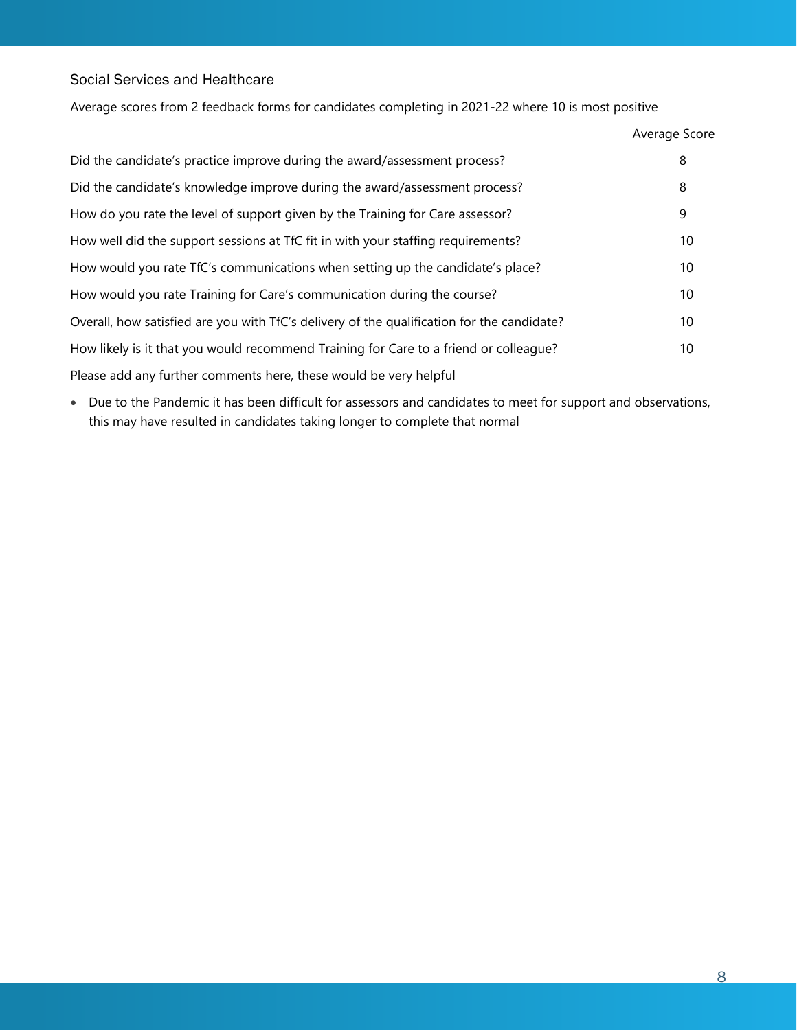### Social Services and Healthcare

Average scores from 2 feedback forms for candidates completing in 2021-22 where 10 is most positive

|                                                                                            | Average Score |
|--------------------------------------------------------------------------------------------|---------------|
| Did the candidate's practice improve during the award/assessment process?                  | 8             |
| Did the candidate's knowledge improve during the award/assessment process?                 | 8             |
| How do you rate the level of support given by the Training for Care assessor?              | 9             |
| How well did the support sessions at TfC fit in with your staffing requirements?           | 10            |
| How would you rate TfC's communications when setting up the candidate's place?             | 10            |
| How would you rate Training for Care's communication during the course?                    | 10            |
| Overall, how satisfied are you with TfC's delivery of the qualification for the candidate? | 10            |
| How likely is it that you would recommend Training for Care to a friend or colleague?      | 10            |
| Please add any further comments here, these would be very helpful                          |               |

• Due to the Pandemic it has been difficult for assessors and candidates to meet for support and observations, this may have resulted in candidates taking longer to complete that normal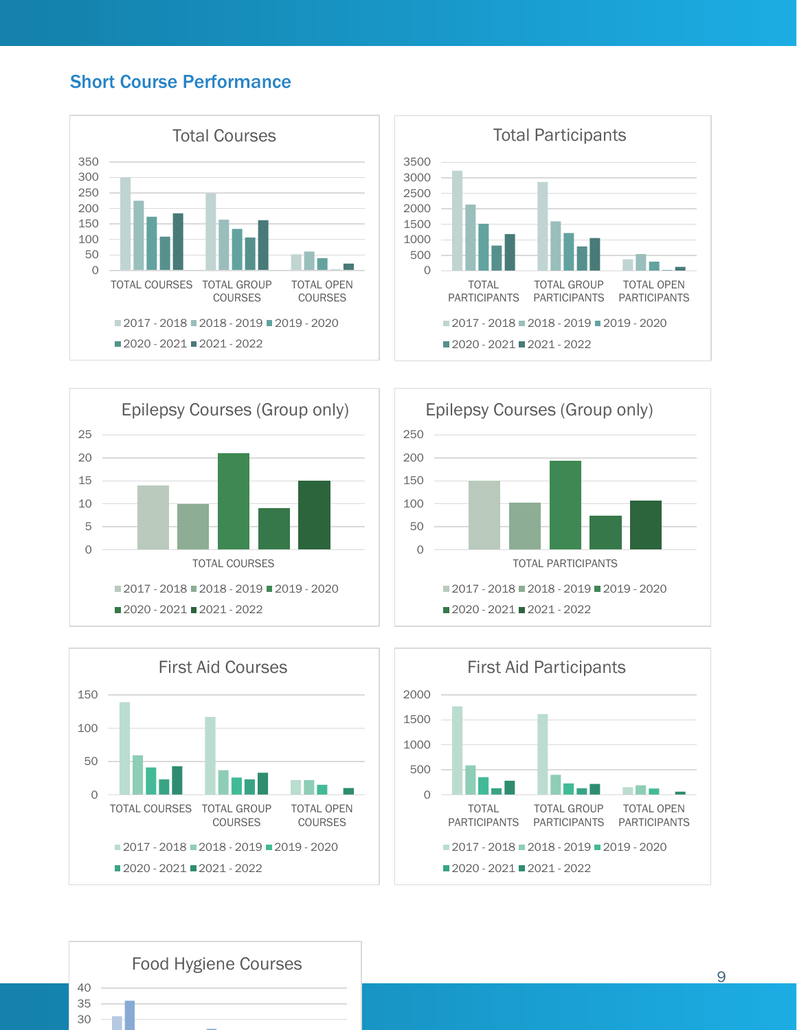### Short Course Performance











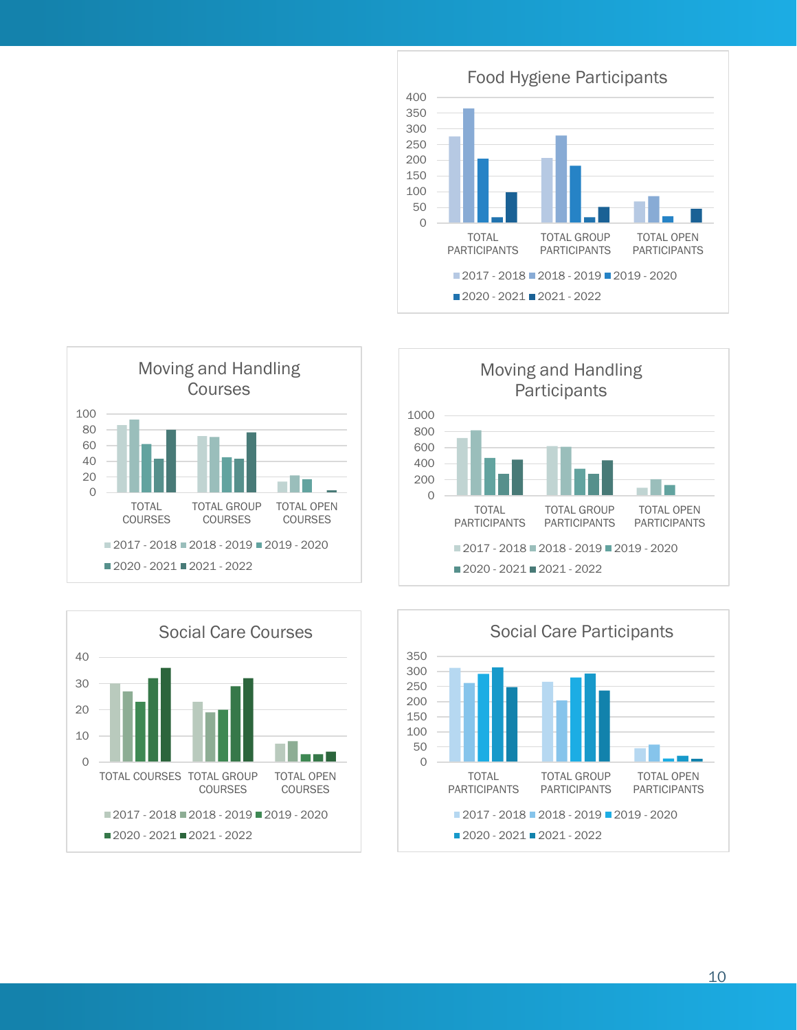









10